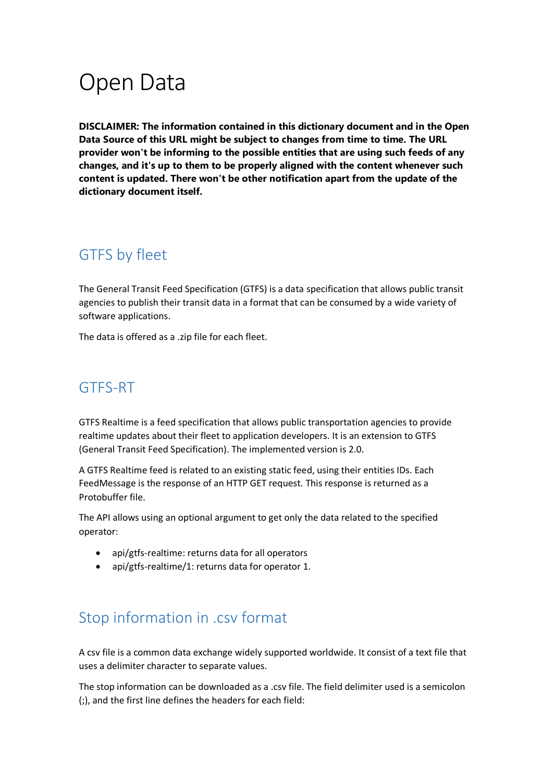# Open Data

**DISCLAIMER: The information contained in this dictionary document and in the Open Data Source of this URL might be subject to changes from time to time. The URL provider won't be informing to the possible entities that are using such feeds of any changes, and it's up to them to be properly aligned with the content whenever such content is updated. There won't be other notification apart from the update of the dictionary document itself.**

## GTFS by fleet

The General Transit Feed Specification (GTFS) is a data specification that allows public transit agencies to publish their transit data in a format that can be consumed by a wide variety of software applications.

The data is offered as a .zip file for each fleet.

## GTFS-RT

GTFS Realtime is a feed specification that allows public transportation agencies to provide realtime updates about their fleet to application developers. It is an extension to GTFS (General Transit Feed Specification). The implemented version is 2.0.

A GTFS Realtime feed is related to an existing static feed, using their entities IDs. Each FeedMessage is the response of an HTTP GET request. This response is returned as a Protobuffer file.

The API allows using an optional argument to get only the data related to the specified operator:

- api/gtfs-realtime: returns data for all operators
- api/gtfs-realtime/1: returns data for operator 1.

## Stop information in .csv format

A csv file is a common data exchange widely supported worldwide. It consist of a text file that uses a delimiter character to separate values.

The stop information can be downloaded as a .csv file. The field delimiter used is a semicolon (;), and the first line defines the headers for each field: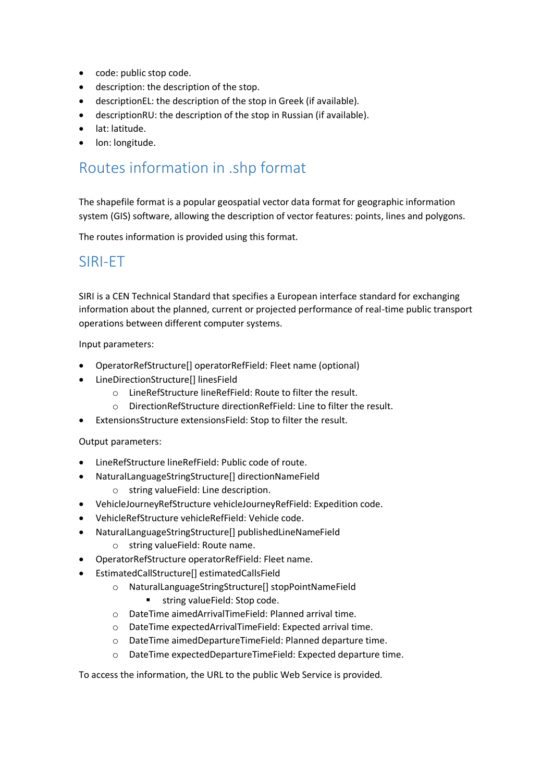- code: public stop code.
- description: the description of the stop.
- descriptionEL: the description of the stop in Greek (if available).
- descriptionRU: the description of the stop in Russian (if available).
- lat: latitude.
- lon: longitude.

## Routes information in .shp format

The shapefile format is a popular geospatial vector data format for geographic information system (GIS) software, allowing the description of vector features: points, lines and polygons.

The routes information is provided using this format.

## SIRI-ET

SIRI is a CEN Technical Standard that specifies a European interface standard for exchanging information about the planned, current or projected performance of real-time public transport operations between different computer systems.

Input parameters:

- OperatorRefStructure[] operatorRefField: Fleet name (optional)
- LineDirectionStructure[] linesField
	- o LineRefStructure lineRefField: Route to filter the result.
	- o DirectionRefStructure directionRefField: Line to filter the result.
- ExtensionsStructure extensionsField: Stop to filter the result.

#### Output parameters:

- LineRefStructure lineRefField: Public code of route.
- NaturalLanguageStringStructure[] directionNameField
	- o string valueField: Line description.
- VehicleJourneyRefStructure vehicleJourneyRefField: Expedition code.
- VehicleRefStructure vehicleRefField: Vehicle code.
- NaturalLanguageStringStructure[] publishedLineNameField
	- o string valueField: Route name.
- OperatorRefStructure operatorRefField: Fleet name.
- EstimatedCallStructure[] estimatedCallsField
	- o NaturalLanguageStringStructure[] stopPointNameField
		- string valueField: Stop code.
	- o DateTime aimedArrivalTimeField: Planned arrival time.
	- o DateTime expectedArrivalTimeField: Expected arrival time.
	- o DateTime aimedDepartureTimeField: Planned departure time.
	- o DateTime expectedDepartureTimeField: Expected departure time.

To access the information, the URL to the public Web Service is provided.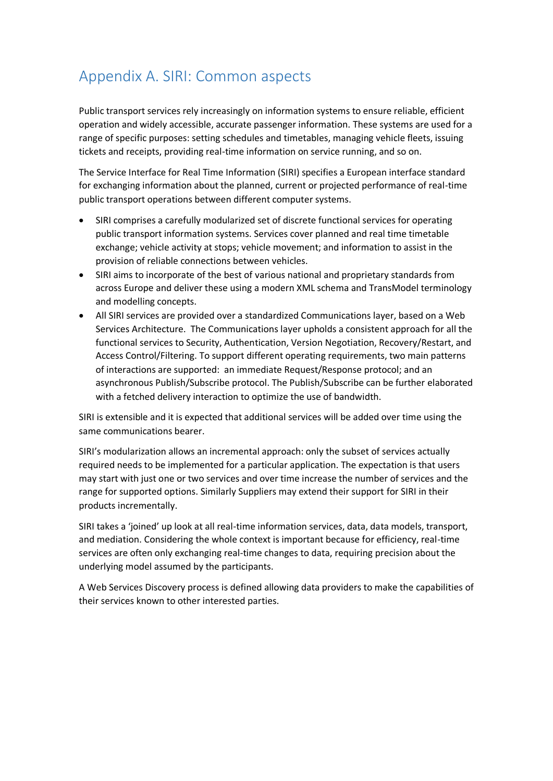## Appendix A. SIRI: Common aspects

Public transport services rely increasingly on information systems to ensure reliable, efficient operation and widely accessible, accurate passenger information. These systems are used for a range of specific purposes: setting schedules and timetables, managing vehicle fleets, issuing tickets and receipts, providing real-time information on service running, and so on.

The Service Interface for Real Time Information (SIRI) specifies a European interface standard for exchanging information about the planned, current or projected performance of real-time public transport operations between different computer systems.

- SIRI comprises a carefully modularized set of discrete functional services for operating public transport information systems. Services cover planned and real time timetable exchange; vehicle activity at stops; vehicle movement; and information to assist in the provision of reliable connections between vehicles.
- SIRI aims to incorporate of the best of various national and proprietary standards from across Europe and deliver these using a modern XML schema and TransModel terminology and modelling concepts.
- All SIRI services are provided over a standardized Communications layer, based on a Web Services Architecture. The Communications layer upholds a consistent approach for all the functional services to Security, Authentication, Version Negotiation, Recovery/Restart, and Access Control/Filtering. To support different operating requirements, two main patterns of interactions are supported: an immediate Request/Response protocol; and an asynchronous Publish/Subscribe protocol. The Publish/Subscribe can be further elaborated with a fetched delivery interaction to optimize the use of bandwidth.

SIRI is extensible and it is expected that additional services will be added over time using the same communications bearer.

SIRI's modularization allows an incremental approach: only the subset of services actually required needs to be implemented for a particular application. The expectation is that users may start with just one or two services and over time increase the number of services and the range for supported options. Similarly Suppliers may extend their support for SIRI in their products incrementally.

SIRI takes a 'joined' up look at all real-time information services, data, data models, transport, and mediation. Considering the whole context is important because for efficiency, real-time services are often only exchanging real-time changes to data, requiring precision about the underlying model assumed by the participants.

A Web Services Discovery process is defined allowing data providers to make the capabilities of their services known to other interested parties.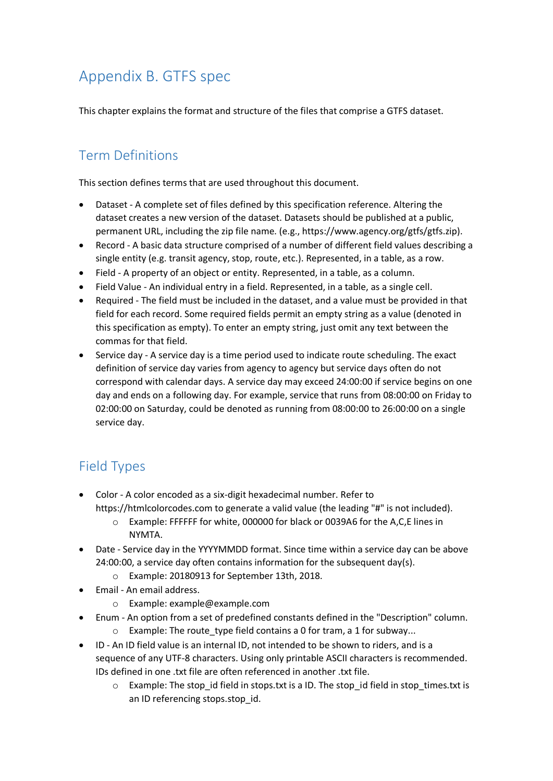## Appendix B. GTFS spec

This chapter explains the format and structure of the files that comprise a GTFS dataset.

## Term Definitions

This section defines terms that are used throughout this document.

- Dataset A complete set of files defined by this specification reference. Altering the dataset creates a new version of the dataset. Datasets should be published at a public, permanent URL, including the zip file name. (e.g., https://www.agency.org/gtfs/gtfs.zip).
- Record A basic data structure comprised of a number of different field values describing a single entity (e.g. transit agency, stop, route, etc.). Represented, in a table, as a row.
- Field A property of an object or entity. Represented, in a table, as a column.
- Field Value An individual entry in a field. Represented, in a table, as a single cell.
- Required The field must be included in the dataset, and a value must be provided in that field for each record. Some required fields permit an empty string as a value (denoted in this specification as empty). To enter an empty string, just omit any text between the commas for that field.
- Service day A service day is a time period used to indicate route scheduling. The exact definition of service day varies from agency to agency but service days often do not correspond with calendar days. A service day may exceed 24:00:00 if service begins on one day and ends on a following day. For example, service that runs from 08:00:00 on Friday to 02:00:00 on Saturday, could be denoted as running from 08:00:00 to 26:00:00 on a single service day.

## Field Types

- Color A color encoded as a six-digit hexadecimal number. Refer to https://htmlcolorcodes.com to generate a valid value (the leading "#" is not included).
	- o Example: FFFFFF for white, 000000 for black or 0039A6 for the A,C,E lines in NYMTA.
- Date Service day in the YYYYMMDD format. Since time within a service day can be above 24:00:00, a service day often contains information for the subsequent day(s).
	- o Example: 20180913 for September 13th, 2018.
- Email An email address.
	- o Example: example@example.com
- Enum An option from a set of predefined constants defined in the "Description" column. o Example: The route\_type field contains a 0 for tram, a 1 for subway...
- ID An ID field value is an internal ID, not intended to be shown to riders, and is a sequence of any UTF-8 characters. Using only printable ASCII characters is recommended. IDs defined in one .txt file are often referenced in another .txt file.
	- $\circ$  Example: The stop id field in stops.txt is a ID. The stop id field in stop times.txt is an ID referencing stops.stop id.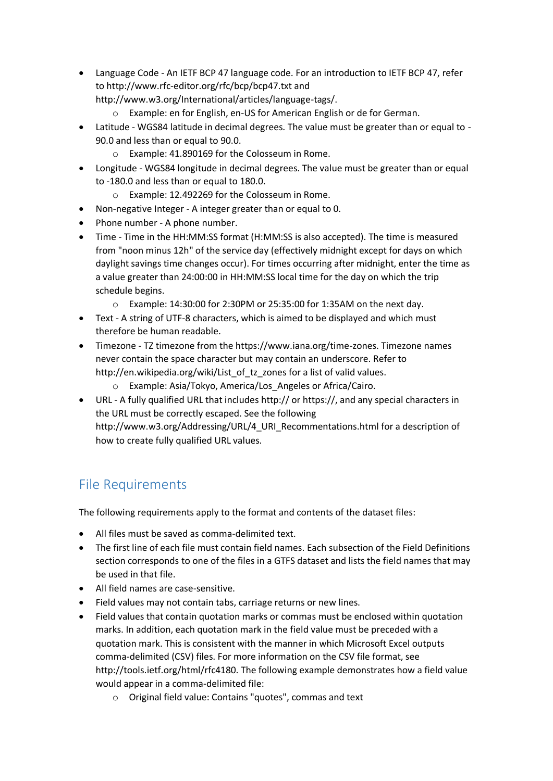- Language Code An IETF BCP 47 language code. For an introduction to IETF BCP 47, refer to http://www.rfc-editor.org/rfc/bcp/bcp47.txt and http://www.w3.org/International/articles/language-tags/.
	- o Example: en for English, en-US for American English or de for German.
- Latitude WGS84 latitude in decimal degrees. The value must be greater than or equal to 90.0 and less than or equal to 90.0.
	- o Example: 41.890169 for the Colosseum in Rome.
- Longitude WGS84 longitude in decimal degrees. The value must be greater than or equal to -180.0 and less than or equal to 180.0.
	- o Example: 12.492269 for the Colosseum in Rome.
- Non-negative Integer A integer greater than or equal to 0.
- Phone number A phone number.
- Time Time in the HH:MM:SS format (H:MM:SS is also accepted). The time is measured from "noon minus 12h" of the service day (effectively midnight except for days on which daylight savings time changes occur). For times occurring after midnight, enter the time as a value greater than 24:00:00 in HH:MM:SS local time for the day on which the trip schedule begins.
	- o Example: 14:30:00 for 2:30PM or 25:35:00 for 1:35AM on the next day.
- Text A string of UTF-8 characters, which is aimed to be displayed and which must therefore be human readable.
- Timezone TZ timezone from the https://www.iana.org/time-zones. Timezone names never contain the space character but may contain an underscore. Refer to http://en.wikipedia.org/wiki/List\_of\_tz\_zones for a list of valid values.
	- o Example: Asia/Tokyo, America/Los\_Angeles or Africa/Cairo.
- URL A fully qualified URL that includes http:// or https://, and any special characters in the URL must be correctly escaped. See the following http://www.w3.org/Addressing/URL/4\_URI\_Recommentations.html for a description of how to create fully qualified URL values.

## File Requirements

The following requirements apply to the format and contents of the dataset files:

- All files must be saved as comma-delimited text.
- The first line of each file must contain field names. Each subsection of the Field Definitions section corresponds to one of the files in a GTFS dataset and lists the field names that may be used in that file.
- All field names are case-sensitive.
- Field values may not contain tabs, carriage returns or new lines.
- Field values that contain quotation marks or commas must be enclosed within quotation marks. In addition, each quotation mark in the field value must be preceded with a quotation mark. This is consistent with the manner in which Microsoft Excel outputs comma-delimited (CSV) files. For more information on the CSV file format, see http://tools.ietf.org/html/rfc4180. The following example demonstrates how a field value would appear in a comma-delimited file:
	- o Original field value: Contains "quotes", commas and text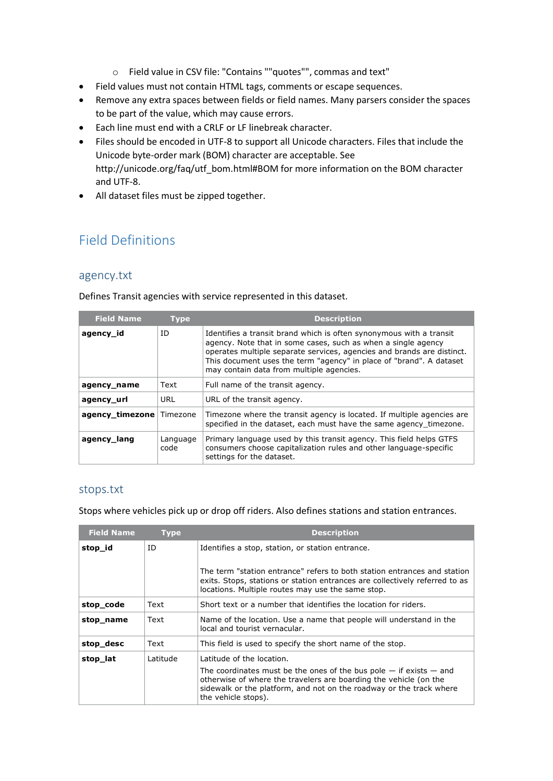- o Field value in CSV file: "Contains ""quotes"", commas and text"
- Field values must not contain HTML tags, comments or escape sequences.
- Remove any extra spaces between fields or field names. Many parsers consider the spaces to be part of the value, which may cause errors.
- Each line must end with a CRLF or LF linebreak character.
- Files should be encoded in UTF-8 to support all Unicode characters. Files that include the Unicode byte-order mark (BOM) character are acceptable. See http://unicode.org/faq/utf\_bom.html#BOM for more information on the BOM character and UTF-8.
- All dataset files must be zipped together.

## Field Definitions

#### agency.txt

Defines Transit agencies with service represented in this dataset.

| <b>Field Name</b> | <b>Type</b>      | <b>Description</b>                                                                                                                                                                                                                                                                                                                |
|-------------------|------------------|-----------------------------------------------------------------------------------------------------------------------------------------------------------------------------------------------------------------------------------------------------------------------------------------------------------------------------------|
| agency_id         | ID               | Identifies a transit brand which is often synonymous with a transit<br>agency. Note that in some cases, such as when a single agency<br>operates multiple separate services, agencies and brands are distinct.<br>This document uses the term "agency" in place of "brand". A dataset<br>may contain data from multiple agencies. |
| agency_name       | Text             | Full name of the transit agency.                                                                                                                                                                                                                                                                                                  |
| agency_url        | URL              | URL of the transit agency.                                                                                                                                                                                                                                                                                                        |
| agency timezone   | Timezone         | Timezone where the transit agency is located. If multiple agencies are<br>specified in the dataset, each must have the same agency timezone.                                                                                                                                                                                      |
| agency lang       | Language<br>code | Primary language used by this transit agency. This field helps GTFS<br>consumers choose capitalization rules and other language-specific<br>settings for the dataset.                                                                                                                                                             |

#### stops.txt

Stops where vehicles pick up or drop off riders. Also defines stations and station entrances.

| <b>Field Name</b> | <b>Type</b> | <b>Description</b>                                                                                                                                                                                                                        |
|-------------------|-------------|-------------------------------------------------------------------------------------------------------------------------------------------------------------------------------------------------------------------------------------------|
| stop_id           | ID          | Identifies a stop, station, or station entrance.                                                                                                                                                                                          |
|                   |             | The term "station entrance" refers to both station entrances and station<br>exits. Stops, stations or station entrances are collectively referred to as<br>locations. Multiple routes may use the same stop.                              |
| stop_code         | Text        | Short text or a number that identifies the location for riders.                                                                                                                                                                           |
| stop_name         | Text        | Name of the location. Use a name that people will understand in the<br>local and tourist vernacular.                                                                                                                                      |
| stop_desc         | Text        | This field is used to specify the short name of the stop.                                                                                                                                                                                 |
| stop_lat          | Latitude    | Latitude of the location.                                                                                                                                                                                                                 |
|                   |             | The coordinates must be the ones of the bus pole $-$ if exists $-$ and<br>otherwise of where the travelers are boarding the vehicle (on the<br>sidewalk or the platform, and not on the roadway or the track where<br>the vehicle stops). |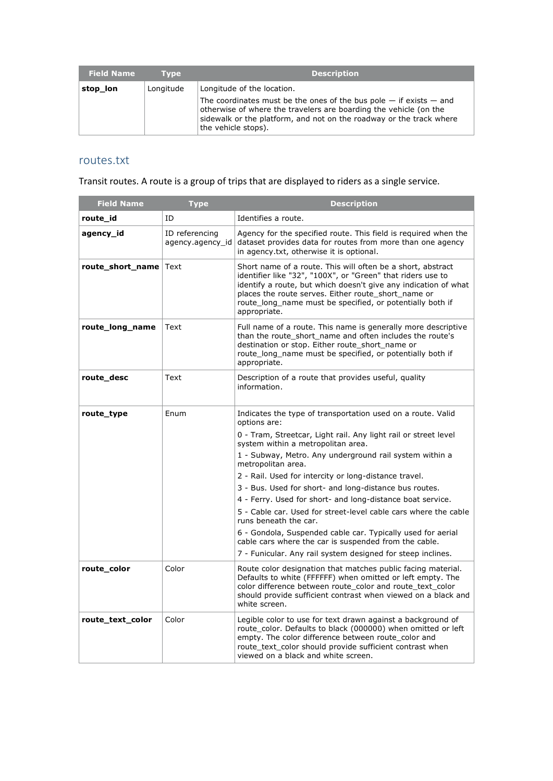| <b>Field Name</b> | <b>Type</b> | <b>Description</b>                                                                                                                                                                                                                        |
|-------------------|-------------|-------------------------------------------------------------------------------------------------------------------------------------------------------------------------------------------------------------------------------------------|
| stop_lon          | Longitude   | Longitude of the location.                                                                                                                                                                                                                |
|                   |             | The coordinates must be the ones of the bus pole $-$ if exists $-$ and<br>otherwise of where the travelers are boarding the vehicle (on the<br>sidewalk or the platform, and not on the roadway or the track where<br>the vehicle stops). |

#### routes.txt

Transit routes. A route is a group of trips that are displayed to riders as a single service.

| <b>Field Name</b> | <b>Type</b>                        | <b>Description</b>                                                                                                                                                                                                                                                                                                                                                                                                                                                                                                                                                                                                                                                                                                                        |
|-------------------|------------------------------------|-------------------------------------------------------------------------------------------------------------------------------------------------------------------------------------------------------------------------------------------------------------------------------------------------------------------------------------------------------------------------------------------------------------------------------------------------------------------------------------------------------------------------------------------------------------------------------------------------------------------------------------------------------------------------------------------------------------------------------------------|
| route_id          | ID                                 | Identifies a route.                                                                                                                                                                                                                                                                                                                                                                                                                                                                                                                                                                                                                                                                                                                       |
| agency_id         | ID referencing<br>agency.agency id | Agency for the specified route. This field is required when the<br>dataset provides data for routes from more than one agency<br>in agency.txt, otherwise it is optional.                                                                                                                                                                                                                                                                                                                                                                                                                                                                                                                                                                 |
| route_short_name  | Text                               | Short name of a route. This will often be a short, abstract<br>identifier like "32", "100X", or "Green" that riders use to<br>identify a route, but which doesn't give any indication of what<br>places the route serves. Either route short name or<br>route long name must be specified, or potentially both if<br>appropriate.                                                                                                                                                                                                                                                                                                                                                                                                         |
| route_long_name   | Text                               | Full name of a route. This name is generally more descriptive<br>than the route short name and often includes the route's<br>destination or stop. Either route_short_name or<br>route_long_name must be specified, or potentially both if<br>appropriate.                                                                                                                                                                                                                                                                                                                                                                                                                                                                                 |
| route_desc        | Text                               | Description of a route that provides useful, quality<br>information.                                                                                                                                                                                                                                                                                                                                                                                                                                                                                                                                                                                                                                                                      |
| route_type        | Enum                               | Indicates the type of transportation used on a route. Valid<br>options are:<br>0 - Tram, Streetcar, Light rail. Any light rail or street level<br>system within a metropolitan area.<br>1 - Subway, Metro. Any underground rail system within a<br>metropolitan area.<br>2 - Rail. Used for intercity or long-distance travel.<br>3 - Bus. Used for short- and long-distance bus routes.<br>4 - Ferry. Used for short- and long-distance boat service.<br>5 - Cable car, Used for street-level cable cars where the cable<br>runs beneath the car.<br>6 - Gondola, Suspended cable car. Typically used for aerial<br>cable cars where the car is suspended from the cable.<br>7 - Funicular. Any rail system designed for steep inclines. |
| route_color       | Color                              | Route color designation that matches public facing material.<br>Defaults to white (FFFFFF) when omitted or left empty. The<br>color difference between route_color and route_text_color<br>should provide sufficient contrast when viewed on a black and<br>white screen.                                                                                                                                                                                                                                                                                                                                                                                                                                                                 |
| route_text_color  | Color                              | Legible color to use for text drawn against a background of<br>route_color. Defaults to black (000000) when omitted or left<br>empty. The color difference between route_color and<br>route text color should provide sufficient contrast when<br>viewed on a black and white screen.                                                                                                                                                                                                                                                                                                                                                                                                                                                     |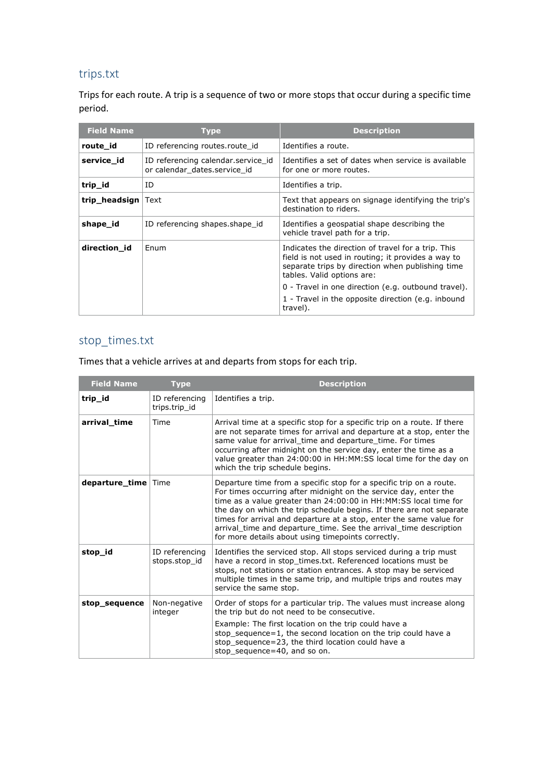### trips.txt

Trips for each route. A trip is a sequence of two or more stops that occur during a specific time period.

| <b>Field Name</b>  | Type                                                               | <b>Description</b>                                                                                                                                                                                                                                |
|--------------------|--------------------------------------------------------------------|---------------------------------------------------------------------------------------------------------------------------------------------------------------------------------------------------------------------------------------------------|
| route id           | ID referencing routes.route id                                     | Identifies a route.                                                                                                                                                                                                                               |
| service id         | ID referencing calendar service id<br>or calendar dates.service id | Identifies a set of dates when service is available<br>for one or more routes.                                                                                                                                                                    |
| trip_id            | ID                                                                 | Identifies a trip.                                                                                                                                                                                                                                |
| trip headsign Text |                                                                    | Text that appears on signage identifying the trip's<br>destination to riders.                                                                                                                                                                     |
| shape id           | ID referencing shapes shape id                                     | Identifies a geospatial shape describing the<br>vehicle travel path for a trip.                                                                                                                                                                   |
| direction id       | Enum                                                               | Indicates the direction of travel for a trip. This<br>field is not used in routing; it provides a way to<br>separate trips by direction when publishing time<br>tables. Valid options are:<br>0 - Travel in one direction (e.g. outbound travel). |
|                    |                                                                    | 1 - Travel in the opposite direction (e.g. inbound<br>travel).                                                                                                                                                                                    |

### stop\_times.txt

Times that a vehicle arrives at and departs from stops for each trip.

| <b>Field Name</b>     | <b>Type</b>                     | <b>Description</b>                                                                                                                                                                                                                                                                                                                                                                                                                                                                    |
|-----------------------|---------------------------------|---------------------------------------------------------------------------------------------------------------------------------------------------------------------------------------------------------------------------------------------------------------------------------------------------------------------------------------------------------------------------------------------------------------------------------------------------------------------------------------|
| trip_id               | ID referencing<br>trips.trip id | Identifies a trip.                                                                                                                                                                                                                                                                                                                                                                                                                                                                    |
| arrival_time          | Time                            | Arrival time at a specific stop for a specific trip on a route. If there<br>are not separate times for arrival and departure at a stop, enter the<br>same value for arrival time and departure time. For times<br>occurring after midnight on the service day, enter the time as a<br>value greater than 24:00:00 in HH:MM:SS local time for the day on<br>which the trip schedule begins.                                                                                            |
| departure_time   Time |                                 | Departure time from a specific stop for a specific trip on a route.<br>For times occurring after midnight on the service day, enter the<br>time as a value greater than 24:00:00 in HH:MM:SS local time for<br>the day on which the trip schedule begins. If there are not separate<br>times for arrival and departure at a stop, enter the same value for<br>arrival time and departure time. See the arrival time description<br>for more details about using timepoints correctly. |
| stop_id               | ID referencing<br>stops.stop id | Identifies the serviced stop. All stops serviced during a trip must<br>have a record in stop_times.txt. Referenced locations must be<br>stops, not stations or station entrances. A stop may be serviced<br>multiple times in the same trip, and multiple trips and routes may<br>service the same stop.                                                                                                                                                                              |
| stop_sequence         | Non-negative<br>integer         | Order of stops for a particular trip. The values must increase along<br>the trip but do not need to be consecutive.                                                                                                                                                                                                                                                                                                                                                                   |
|                       |                                 | Example: The first location on the trip could have a<br>stop_sequence=1, the second location on the trip could have a<br>stop sequence=23, the third location could have a<br>stop sequence=40, and so on.                                                                                                                                                                                                                                                                            |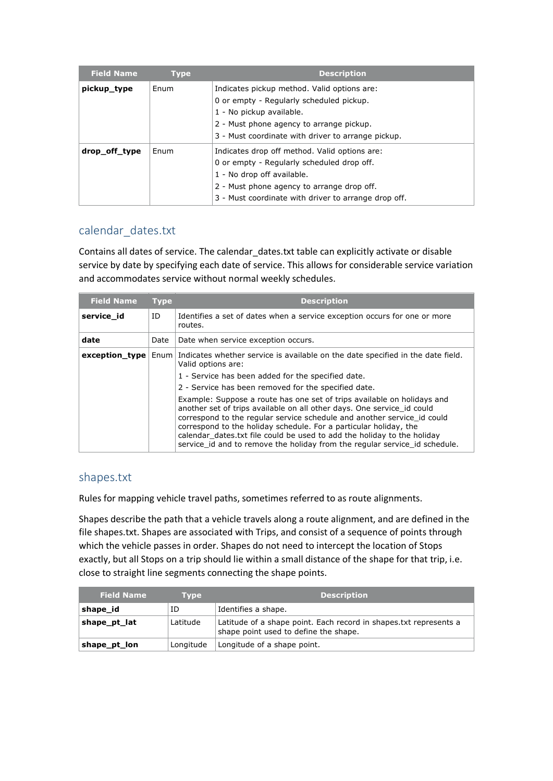| <b>Field Name</b> | <b>Type</b> | <b>Description</b>                                                                      |
|-------------------|-------------|-----------------------------------------------------------------------------------------|
| pickup_type       | Enum        | Indicates pickup method. Valid options are:<br>0 or empty - Regularly scheduled pickup. |
|                   |             | 1 - No pickup available.                                                                |
|                   |             | 2 - Must phone agency to arrange pickup.                                                |
|                   |             | 3 - Must coordinate with driver to arrange pickup.                                      |
| drop_off_type     | Enum        | Indicates drop off method. Valid options are:                                           |
|                   |             | 0 or empty - Regularly scheduled drop off.                                              |
|                   |             | 1 - No drop off available.                                                              |
|                   |             | 2 - Must phone agency to arrange drop off.                                              |
|                   |             | 3 - Must coordinate with driver to arrange drop off.                                    |

### calendar\_dates.txt

Contains all dates of service. The calendar\_dates.txt table can explicitly activate or disable service by date by specifying each date of service. This allows for considerable service variation and accommodates service without normal weekly schedules.

| <b>Field Name</b> | <b>Type</b> | <b>Description</b>                                                                                                                                                                                                                                                                                                                                                                                                                                         |
|-------------------|-------------|------------------------------------------------------------------------------------------------------------------------------------------------------------------------------------------------------------------------------------------------------------------------------------------------------------------------------------------------------------------------------------------------------------------------------------------------------------|
| service id        | ID          | Identifies a set of dates when a service exception occurs for one or more<br>routes.                                                                                                                                                                                                                                                                                                                                                                       |
| date              | Date        | Date when service exception occurs.                                                                                                                                                                                                                                                                                                                                                                                                                        |
| $exception_type$  |             | Enum   Indicates whether service is available on the date specified in the date field.<br>Valid options are:                                                                                                                                                                                                                                                                                                                                               |
|                   |             | 1 - Service has been added for the specified date.                                                                                                                                                                                                                                                                                                                                                                                                         |
|                   |             | 2 - Service has been removed for the specified date.                                                                                                                                                                                                                                                                                                                                                                                                       |
|                   |             | Example: Suppose a route has one set of trips available on holidays and<br>another set of trips available on all other days. One service id could<br>correspond to the regular service schedule and another service_id could<br>correspond to the holiday schedule. For a particular holiday, the<br>calendar dates.txt file could be used to add the holiday to the holiday<br>service_id and to remove the holiday from the regular service_id schedule. |

#### shapes.txt

Rules for mapping vehicle travel paths, sometimes referred to as route alignments.

Shapes describe the path that a vehicle travels along a route alignment, and are defined in the file shapes.txt. Shapes are associated with Trips, and consist of a sequence of points through which the vehicle passes in order. Shapes do not need to intercept the location of Stops exactly, but all Stops on a trip should lie within a small distance of the shape for that trip, i.e. close to straight line segments connecting the shape points.

| <b>Field Name</b> | <b>Type</b> | <b>Description</b>                                                                                         |
|-------------------|-------------|------------------------------------------------------------------------------------------------------------|
| shape id          | ID          | Identifies a shape.                                                                                        |
| shape_pt_lat      | Latitude    | Latitude of a shape point. Each record in shapes txt represents a<br>shape point used to define the shape. |
| shape_pt_lon      | Longitude   | Longitude of a shape point.                                                                                |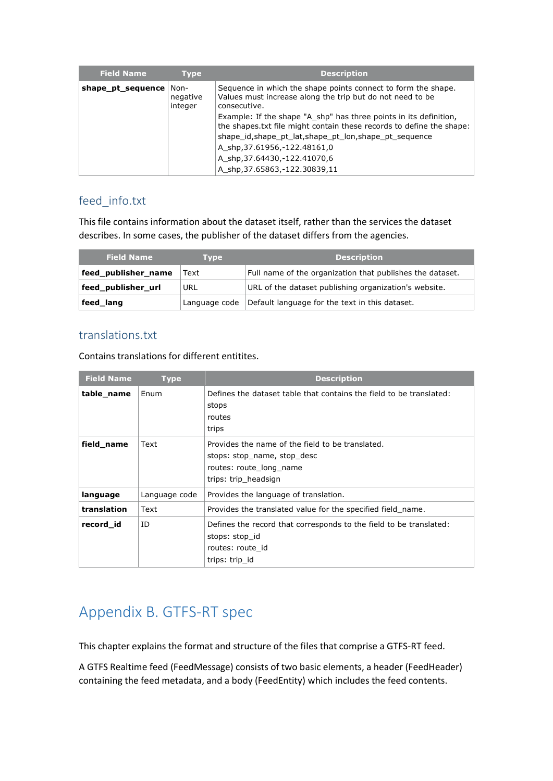| <b>Field Name</b> | <b>Type</b>                 | <b>Description</b>                                                                                                                                                                                                                                                                                          |
|-------------------|-----------------------------|-------------------------------------------------------------------------------------------------------------------------------------------------------------------------------------------------------------------------------------------------------------------------------------------------------------|
| shape_pt_sequence | Non-<br>negative<br>integer | Sequence in which the shape points connect to form the shape.<br>Values must increase along the trip but do not need to be<br>consecutive.                                                                                                                                                                  |
|                   |                             | Example: If the shape "A shp" has three points in its definition,<br>the shapes txt file might contain these records to define the shape:<br>shape id, shape pt lat, shape pt lon, shape pt sequence<br>A shp, 37.61956, -122.48161, 0<br>A shp, 37.64430, -122.41070, 6<br>A shp, 37.65863, -122.30839, 11 |

## feed\_info.txt

This file contains information about the dataset itself, rather than the services the dataset describes. In some cases, the publisher of the dataset differs from the agencies.

| <b>Field Name</b>   | Tvpe          | <b>Description</b>                                        |
|---------------------|---------------|-----------------------------------------------------------|
| feed_publisher_name | Text          | Full name of the organization that publishes the dataset. |
| feed_publisher_url  | URL           | URL of the dataset publishing organization's website.     |
| feed_lang           | Language code | Default language for the text in this dataset.            |

### translations.txt

Contains translations for different entitites.

| <b>Field Name</b> | <b>Type</b>   | <b>Description</b>                                                                                                                 |
|-------------------|---------------|------------------------------------------------------------------------------------------------------------------------------------|
| table_name        | Enum          | Defines the dataset table that contains the field to be translated:<br>stops<br>routes<br>trips                                    |
| field name        | Text          | Provides the name of the field to be translated.<br>stops: stop name, stop desc<br>routes: route long name<br>trips: trip headsign |
| language          | Language code | Provides the language of translation.                                                                                              |
| translation       | Text          | Provides the translated value for the specified field name.                                                                        |
| record id         | ID            | Defines the record that corresponds to the field to be translated:<br>stops: stop id<br>routes: route id<br>trips: trip id         |

## Appendix B. GTFS-RT spec

This chapter explains the format and structure of the files that comprise a GTFS-RT feed.

A GTFS Realtime feed (FeedMessage) consists of two basic elements, a header (FeedHeader) containing the feed metadata, and a body (FeedEntity) which includes the feed contents.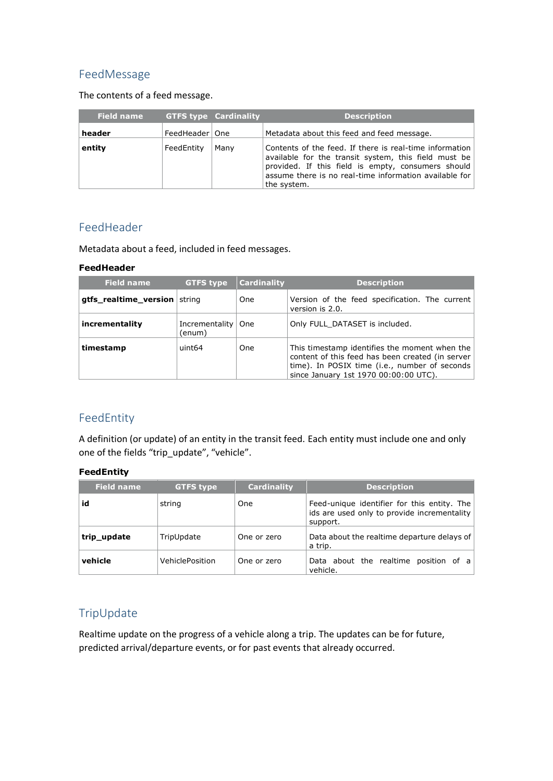### FeedMessage

The contents of a feed message.

| Field name |                  | <b>GTFS type Cardinality</b> | <b>Description</b>                                                                                                                                                                                                                             |
|------------|------------------|------------------------------|------------------------------------------------------------------------------------------------------------------------------------------------------------------------------------------------------------------------------------------------|
| header     | FeedHeader   One |                              | Metadata about this feed and feed message.                                                                                                                                                                                                     |
| entity     | FeedEntity       | Many                         | Contents of the feed. If there is real-time information<br>available for the transit system, this field must be<br>provided. If this field is empty, consumers should<br>assume there is no real-time information available for<br>the system. |

#### FeedHeader

Metadata about a feed, included in feed messages.

#### **FeedHeader**

| <b>Field name</b>     | <b>GTFS type</b>           | <b>Cardinality</b> | <b>Description</b>                                                                                                                                                                          |
|-----------------------|----------------------------|--------------------|---------------------------------------------------------------------------------------------------------------------------------------------------------------------------------------------|
| gtfs_realtime_version | string                     | One                | Version of the feed specification. The current<br>version is 2.0.                                                                                                                           |
| incrementality        | Incrementality  <br>(enum) | <b>One</b>         | Only FULL DATASET is included.                                                                                                                                                              |
| timestamp             | uint64                     | One                | This timestamp identifies the moment when the<br>content of this feed has been created (in server<br>time). In POSIX time (i.e., number of seconds<br>since January 1st 1970 00:00:00 UTC). |

### FeedEntity

A definition (or update) of an entity in the transit feed. Each entity must include one and only one of the fields "trip\_update", "vehicle".

#### **FeedEntity**

| <b>Field name</b> | <b>GTFS type</b> | <b>Cardinality</b> | <b>Description</b>                                                                                     |
|-------------------|------------------|--------------------|--------------------------------------------------------------------------------------------------------|
| id                | string           | <b>One</b>         | Feed-unique identifier for this entity. The<br>ids are used only to provide incrementality<br>support. |
| trip_update       | TripUpdate       | One or zero        | Data about the realtime departure delays of<br>a trip.                                                 |
| vehicle           | VehiclePosition  | One or zero        | Data about the realtime position of a<br>vehicle.                                                      |

### TripUpdate

Realtime update on the progress of a vehicle along a trip. The updates can be for future, predicted arrival/departure events, or for past events that already occurred.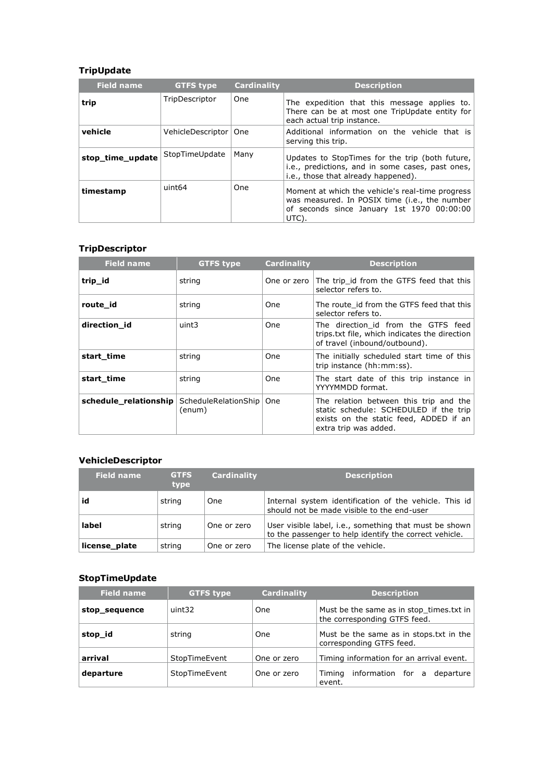### **TripUpdate**

| <b>Field name</b> | <b>GTFS type</b>        | Cardinality | <b>Description</b>                                                                                                                                       |
|-------------------|-------------------------|-------------|----------------------------------------------------------------------------------------------------------------------------------------------------------|
| trip              | TripDescriptor          | One         | The expedition that this message applies to.<br>There can be at most one TripUpdate entity for<br>each actual trip instance.                             |
| vehicle           | VehicleDescriptor   One |             | Additional information on the vehicle that is<br>serving this trip.                                                                                      |
| stop time update  | StopTimeUpdate          | Many        | Updates to StopTimes for the trip (both future,<br>i.e., predictions, and in some cases, past ones,<br>i.e., those that already happened).               |
| timestamp         | uint <sub>64</sub>      | <b>One</b>  | Moment at which the vehicle's real-time progress<br>was measured. In POSIX time (i.e., the number<br>of seconds since January 1st 1970 00:00:00<br>UTC). |

#### **TripDescriptor**

| <b>Field name</b>     | <b>GTFS type</b>               | <b>Cardinality</b> | <b>Description</b>                                                                                                                                  |
|-----------------------|--------------------------------|--------------------|-----------------------------------------------------------------------------------------------------------------------------------------------------|
| trip_id               | string                         | One or zero        | The trip id from the GTFS feed that this<br>selector refers to.                                                                                     |
| route id              | string                         | One                | The route id from the GTFS feed that this<br>selector refers to.                                                                                    |
| direction_id          | uint3                          | One                | The direction id from the GTFS feed<br>trips.txt file, which indicates the direction<br>of travel (inbound/outbound).                               |
| start time            | string                         | One                | The initially scheduled start time of this<br>trip instance (hh:mm:ss).                                                                             |
| start time            | string                         | One                | The start date of this trip instance in<br>YYYYMMDD format.                                                                                         |
| schedule_relationship | ScheduleRelationShip<br>(enum) | <b>One</b>         | The relation between this trip and the<br>static schedule: SCHEDULED if the trip<br>exists on the static feed, ADDED if an<br>extra trip was added. |

### **VehicleDescriptor**

| <b>Field name</b> | <b>GTFS</b><br>type | <b>Cardinality</b> | <b>Description</b>                                                                                               |
|-------------------|---------------------|--------------------|------------------------------------------------------------------------------------------------------------------|
| id                | string              | One                | Internal system identification of the vehicle. This id<br>should not be made visible to the end-user             |
| label             | string              | One or zero        | User visible label, i.e., something that must be shown<br>to the passenger to help identify the correct vehicle. |
| license plate     | string              | One or zero        | The license plate of the vehicle.                                                                                |

### **StopTimeUpdate**

| <b>Field name</b> | <b>GTFS type</b> | <b>Cardinality</b> | <b>Description</b>                                                       |
|-------------------|------------------|--------------------|--------------------------------------------------------------------------|
| stop_sequence     | uint32           | One                | Must be the same as in stop times txt in<br>the corresponding GTFS feed. |
| stop_id           | string           | One                | Must be the same as in stops txt in the<br>corresponding GTFS feed.      |
| arrival           | StopTimeEvent    | One or zero        | Timing information for an arrival event.                                 |
| departure         | StopTimeEvent    | One or zero        | information for a<br>Timina<br>departure<br>event.                       |